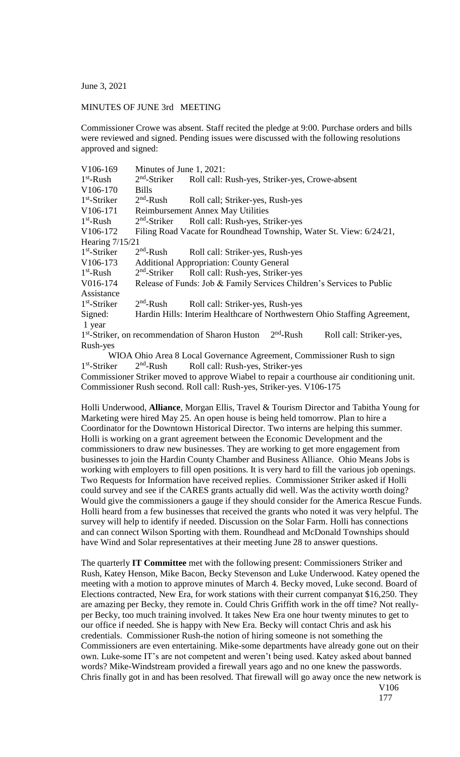June 3, 2021

## MINUTES OF JUNE 3rd MEETING

Commissioner Crowe was absent. Staff recited the pledge at 9:00. Purchase orders and bills were reviewed and signed. Pending issues were discussed with the following resolutions approved and signed:

| V106-169              | Minutes of June 1, 2021:                                              |                                                                                                               |
|-----------------------|-----------------------------------------------------------------------|---------------------------------------------------------------------------------------------------------------|
| $1st$ -Rush           | $2nd$ -Striker                                                        | Roll call: Rush-yes, Striker-yes, Crowe-absent                                                                |
| V106-170              | <b>Bills</b>                                                          |                                                                                                               |
| $1st$ -Striker        | $2nd$ -Rush                                                           | Roll call; Striker-yes, Rush-yes                                                                              |
| V106-171              | <b>Reimbursement Annex May Utilities</b>                              |                                                                                                               |
| $1st$ -Rush           | $2nd$ -Striker                                                        | Roll call: Rush-yes, Striker-yes                                                                              |
| V <sub>106</sub> -172 | Filing Road Vacate for Roundhead Township, Water St. View: 6/24/21,   |                                                                                                               |
| Hearing 7/15/21       |                                                                       |                                                                                                               |
| $1st$ -Striker        | $2nd$ -Rush                                                           | Roll call: Striker-yes, Rush-yes                                                                              |
| V106-173              | <b>Additional Appropriation: County General</b>                       |                                                                                                               |
| $1st$ -Rush           | $2nd$ -Striker                                                        | Roll call: Rush-yes, Striker-yes                                                                              |
| V016-174              | Release of Funds: Job & Family Services Children's Services to Public |                                                                                                               |
| Assistance            |                                                                       |                                                                                                               |
| $1st$ -Striker        | $2nd$ -Rush                                                           | Roll call: Striker-yes, Rush-yes                                                                              |
| Signed:               |                                                                       | Hardin Hills: Interim Healthcare of Northwestern Ohio Staffing Agreement,                                     |
| 1 year                |                                                                       |                                                                                                               |
|                       |                                                                       | 1 <sup>st</sup> -Striker, on recommendation of Sharon Huston 2 <sup>nd</sup> -Rush<br>Roll call: Striker-yes, |
| Rush-yes              |                                                                       |                                                                                                               |
|                       |                                                                       | WIOA Objo Area 8 Local Governance Agreement Commissioner Rush to sign                                         |

Local Governance Agreement, Commissioner Rush to sign 1 st -Striker 2  $2<sup>nd</sup>$ -Rush Roll call: Rush-yes, Striker-yes Commissioner Striker moved to approve Wiabel to repair a courthouse air conditioning unit. Commissioner Rush second. Roll call: Rush-yes, Striker-yes. V106-175

Holli Underwood, **Alliance**, Morgan Ellis, Travel & Tourism Director and Tabitha Young for Marketing were hired May 25. An open house is being held tomorrow. Plan to hire a Coordinator for the Downtown Historical Director. Two interns are helping this summer. Holli is working on a grant agreement between the Economic Development and the commissioners to draw new businesses. They are working to get more engagement from businesses to join the Hardin County Chamber and Business Alliance. Ohio Means Jobs is working with employers to fill open positions. It is very hard to fill the various job openings. Two Requests for Information have received replies. Commissioner Striker asked if Holli could survey and see if the CARES grants actually did well. Was the activity worth doing? Would give the commissioners a gauge if they should consider for the America Rescue Funds. Holli heard from a few businesses that received the grants who noted it was very helpful. The survey will help to identify if needed. Discussion on the Solar Farm. Holli has connections and can connect Wilson Sporting with them. Roundhead and McDonald Townships should have Wind and Solar representatives at their meeting June 28 to answer questions.

The quarterly **IT Committee** met with the following present: Commissioners Striker and Rush, Katey Henson, Mike Bacon, Becky Stevenson and Luke Underwood. Katey opened the meeting with a motion to approve minutes of March 4. Becky moved, Luke second. Board of Elections contracted, New Era, for work stations with their current companyat \$16,250. They are amazing per Becky, they remote in. Could Chris Griffith work in the off time? Not reallyper Becky, too much training involved. It takes New Era one hour twenty minutes to get to our office if needed. She is happy with New Era. Becky will contact Chris and ask his credentials. Commissioner Rush-the notion of hiring someone is not something the Commissioners are even entertaining. Mike-some departments have already gone out on their own. Luke-some IT's are not competent and weren't being used. Katey asked about banned words? Mike-Windstream provided a firewall years ago and no one knew the passwords. Chris finally got in and has been resolved. That firewall will go away once the new network is

V106 177